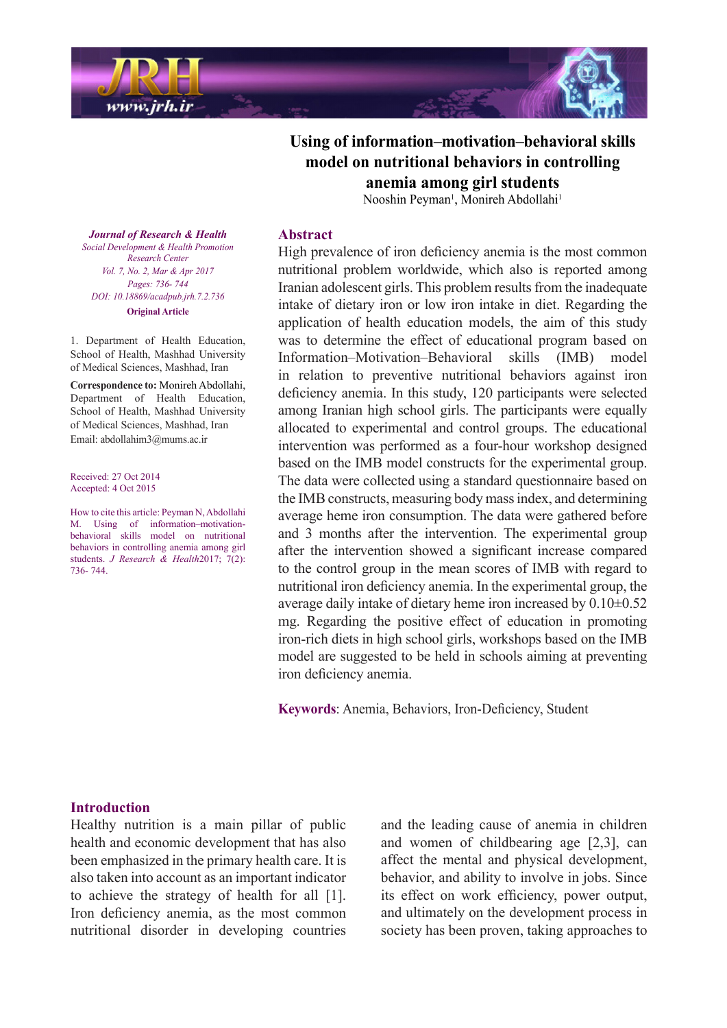

# Using of information–motivation–behavioral skills model on nutritional behaviors in controlling **students girl among anemia**

Nooshin Peyman<sup>1</sup>, Monireh Abdollahi<sup>1</sup>

**Journal of Research & Health**  *Promotion Health & Development Social Center Research Vol. 7, No. 2, Mar & Apr 2017* Pages: 736- 744 *DOI*: 10.18869/acadpub.jrh.7.2.736 **Original** Article

1. Department of Health Education, School of Health, Mashhad University of Medical Sciences, Mashhad, Iran

**Correspondence to: Monireh Abdollahi,** Department of Health Education, School of Health, Mashhad University of Medical Sciences, Mashhad, Iran Email: abdollahim 3@mums.ac.ir

Received: 27 Oct 2014 Accepted: 4 Oct 2015

How to cite this article: Peyman N, Abdollahi behavioral skills model on nutritional M. Using of information-motivationbehaviors in controlling anemia among girl students. *J Research & Health* 2017; 7(2): 744. 736-

#### **Abstract**

High prevalence of iron deficiency anemia is the most common nutritional problem worldwide, which also is reported among Iranian adolescent girls. This problem results from the inadequate intake of dietary iron or low iron intake in diet. Regarding the application of health education models, the aim of this study was to determine the effect of educational program based on Information–Motivation–Behavioral skills (IMB) model in relation to preventive nutritional behaviors against iron deficiency anemia. In this study, 120 participants were selected among Iranian high school girls. The participants were equally allocated to experimental and control groups. The educational intervention was performed as a four-hour workshop designed based on the IMB model constructs for the experimental group. The data were collected using a standard questionnaire based on the IMB constructs, measuring body mass index, and determining average heme iron consumption. The data were gathered before and 3 months after the intervention. The experimental group after the intervention showed a significant increase compared to the control group in the mean scores of IMB with regard to nutritional iron deficiency anemia. In the experimental group, the average daily intake of dietary heme iron increased by  $0.10\pm0.52$ mg. Regarding the positive effect of education in promoting iron-rich diets in high school girls, workshops based on the IMB model are suggested to be held in schools aiming at preventing iron deficiency anemia.

Keywords: Anemia, Behaviors, Iron-Deficiency, Student

#### **Introduction**

Healthy nutrition is a main pillar of public health and economic development that has also been emphasized in the primary health care. It is also taken into account as an important indicator to achieve the strategy of health for all  $[1]$ . Iron deficiency anemia, as the most common nutritional disorder in developing countries and the leading cause of anemia in children and women of childbearing age  $[2,3]$ , can affect the mental and physical development, behavior, and ability to involve in jobs. Since its effect on work efficiency, power output, and ultimately on the development process in society has been proven, taking approaches to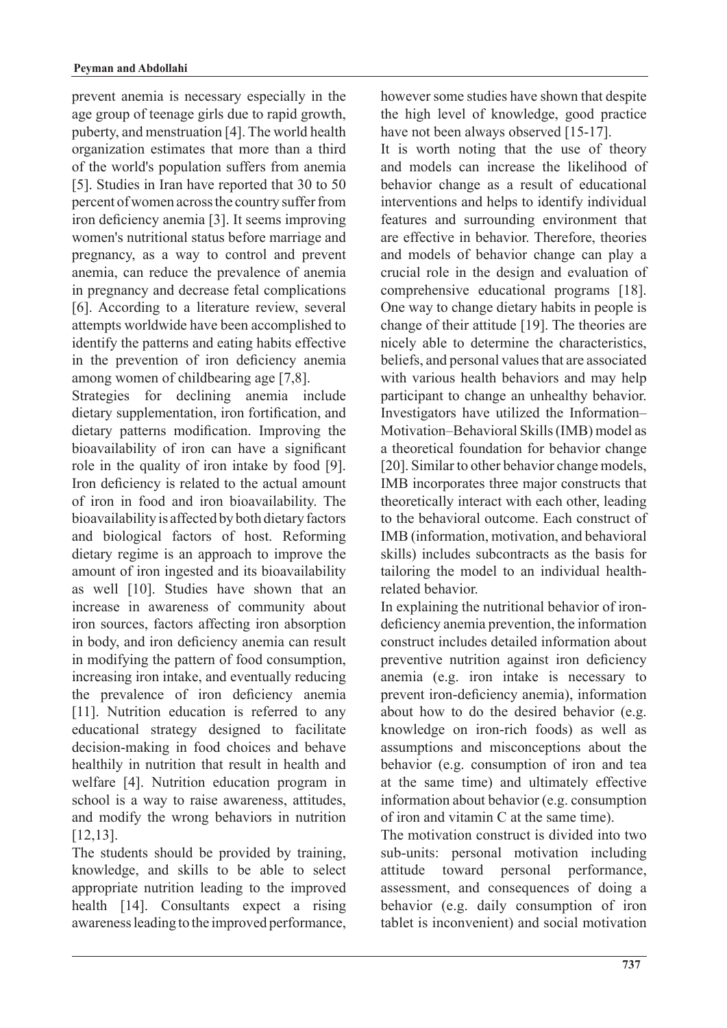prevent anemia is necessary especially in the age group of teenage girls due to rapid growth, puberty, and menstruation [4]. The world health organization estimates that more than a third of the world's population suffers from anemia [5]. Studies in Iran have reported that  $30$  to  $50$ percent of women across the country suffer from iron deficiency anemia [3]. It seems improving women's nutritional status before marriage and pregnancy, as a way to control and prevent anemia, can reduce the prevalence of anemia in pregnancy and decrease fetal complications [6]. According to a literature review, several attempts worldwide have been accomplished to identify the patterns and eating habits effective in the prevention of iron deficiency anemia among women of childbearing age  $[7,8]$ .

Strategies for declining anemia include dietary supplementation, iron fortification, and dietary patterns modification. Improving the bioavailability of iron can have a significant role in the quality of iron intake by food  $[9]$ . Iron deficiency is related to the actual amount of iron in food and iron bioavailability. The bioavailability is affected by both dietary factors and biological factors of host. Reforming dietary regime is an approach to improve the amount of iron ingested and its bioavailability as well [10]. Studies have shown that an increase in awareness of community about iron sources, factors affecting iron absorption in body, and iron deficiency anemia can result in modifying the pattern of food consumption, increasing iron intake, and eventually reducing the prevalence of iron deficiency anemia [11]. Nutrition education is referred to any educational strategy designed to facilitate decision-making in food choices and behave healthily in nutrition that result in health and welfare [4]. Nutrition education program in school is a way to raise awareness, attitudes, and modify the wrong behaviors in nutrition .[12,13]

The students should be provided by training, knowledge, and skills to be able to select appropriate nutrition leading to the improved health  $[14]$ . Consultants expect a rising awareness leading to the improved performance, however some studies have shown that despite the high level of knowledge, good practice have not been always observed  $[15-17]$ .

It is worth noting that the use of theory and models can increase the likelihood of behavior change as a result of educational interventions and helps to identify individual features and surrounding environment that are effective in behavior. Therefore, theories and models of behavior change can play a crucial role in the design and evaluation of comprehensive educational programs [18]. One way to change dietary habits in people is change of their attitude  $[19]$ . The theories are nicely able to determine the characteristics, beliefs, and personal values that are associated with various health behaviors and may help participant to change an unhealthy behavior. Investigators have utilized the Information-Motivation–Behavioral Skills (IMB) model as a theoretical foundation for behavior change [20]. Similar to other behavior change models, IMB incorporates three major constructs that theoretically interact with each other, leading to the behavioral outcome. Each construct of IMB (information, motivation, and behavioral skills) includes subcontracts as the basis for tailoring the model to an individual health-<br>related behavior.

deficiency anemia prevention, the information In explaining the nutritional behavior of ironconstruct includes detailed information about preventive nutrition against iron deficiency anemia  $(e.g.$  iron intake is necessary to prevent iron-deficiency anemia), information about how to do the desired behavior (e.g. knowledge on iron-rich foods) as well as assumptions and misconceptions about the behavior (e.g. consumption of iron and tea at the same time) and ultimately effective information about behavior (e.g. consumption  $of$  iron and vitamin  $C$  at the same time).

The motivation construct is divided into two sub-units: personal motivation including attitude toward personal performance, assessment, and consequences of doing a behavior (e.g. daily consumption of iron tablet is inconvenient) and social motivation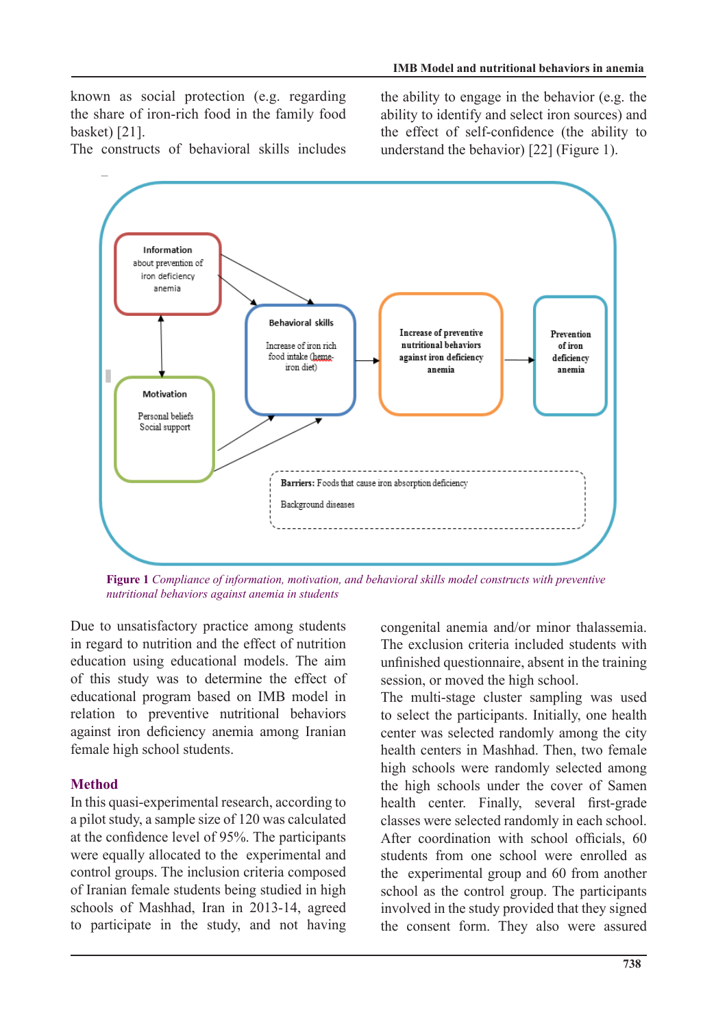known as social protection (e.g. regarding the share of iron-rich food in the family food basket) [21].

The constructs of behavioral skills includes

the ability to engage in the behavior (e.g. the ability to identify and select iron sources) and the effect of self-confidence (the ability to understand the behavior)  $[22]$  (Figure 1).



*Figure 1 Compliance of information, motivation, and behavioral skills model constructs with preventive students in anemia against behaviors nutritional*

Due to unsatisfactory practice among students in regard to nutrition and the effect of nutrition education using educational models. The aim of this study was to determine the effect of educational program based on IMB model in relation to preventive nutritional behaviors against iron deficiency anemia among Iranian female high school students.

## **Method**

In this quasi-experimental research, according to a pilot study, a sample size of 120 was calculated at the confidence level of  $95%$ . The participants were equally allocated to the experimental and control groups. The inclusion criteria composed of Iranian female students being studied in high schools of Mashhad, Iran in 2013-14, agreed to participate in the study, and not having congenital anemia and/or minor thalassemia. The exclusion criteria included students with unfinished questionnaire, absent in the training session, or moved the high school.

The multi-stage cluster sampling was used to select the participants. Initially, one health center was selected randomly among the city health centers in Mashhad. Then, two female high schools were randomly selected among the high schools under the cover of Samen health center. Finally, several first-grade classes were selected randomly in each school. After coordination with school officials.  $60$ students from one school were enrolled as the experimental group and 60 from another school as the control group. The participants involved in the study provided that they signed the consent form. They also were assured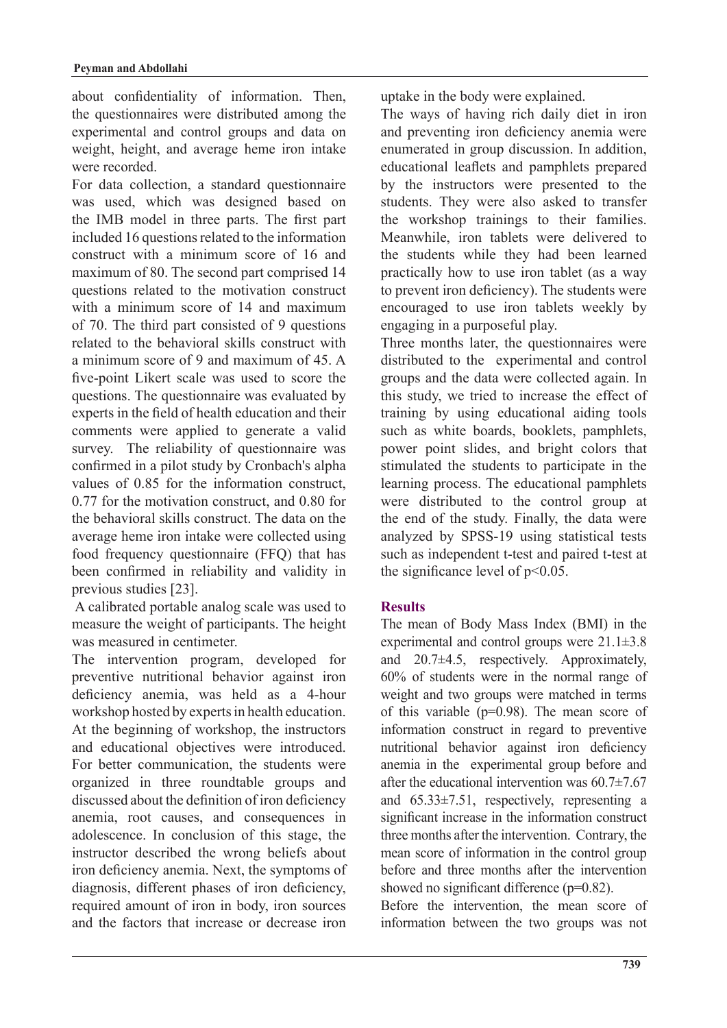about confidentiality of information. Then, the questionnaires were distributed among the experimental and control groups and data on weight, height, and average heme iron intake were recorded.

For data collection, a standard questionnaire was used, which was designed based on the IMB model in three parts. The first part included 16 questions related to the information construct with a minimum score of 16 and maximum of 80. The second part comprised 14 questions related to the motivation construct with a minimum score of 14 and maximum of 70. The third part consisted of 9 questions related to the behavioral skills construct with a minimum score of 9 and maximum of  $45\,$  A five-point Likert scale was used to score the questions. The questionnaire was evaluated by experts in the field of health education and their comments were applied to generate a valid survey. The reliability of questionnaire was confirmed in a pilot study by Cronbach's alpha values of 0.85 for the information construct,  $0.77$  for the motivation construct, and  $0.80$  for the behavioral skills construct. The data on the average heme iron intake were collected using food frequency questionnaire (FFQ) that has been confirmed in reliability and validity in previous studies [23].

A calibrated portable analog scale was used to measure the weight of participants. The height was measured in centimeter.

The intervention program, developed for preventive nutritional behavior against iron deficiency anemia, was held as a 4-hour workshop hosted by experts in health education. At the beginning of workshop, the instructors and educational objectives were introduced. For better communication, the students were organized in three roundtable groups and discussed about the definition of iron deficiency anemia, root causes, and consequences in adolescence. In conclusion of this stage, the instructor described the wrong beliefs about iron deficiency anemia. Next, the symptoms of diagnosis, different phases of iron deficiency, required amount of iron in body, iron sources and the factors that increase or decrease iron uptake in the body were explained.

The ways of having rich daily diet in iron and preventing iron deficiency anemia were enumerated in group discussion. In addition, educational leaflets and pamphlets prepared by the instructors were presented to the students. They were also asked to transfer the workshop trainings to their families. Meanwhile, iron tablets were delivered to the students while they had been learned practically how to use iron tablet (as a way to prevent iron deficiency). The students were encouraged to use iron tablets weekly by engaging in a purposeful play.

Three months later, the questionnaires were distributed to the experimental and control groups and the data were collected again. In this study, we tried to increase the effect of training by using educational aiding tools such as white boards, booklets, pamphlets, power point slides, and bright colors that stimulated the students to participate in the learning process. The educational pamphlets were distributed to the control group at the end of the study. Finally, the data were analyzed by SPSS-19 using statistical tests such as independent t-test and paired t-test at the significance level of  $p<0.05$ .

## **Results**

The mean of Body Mass Index (BMI) in the experimental and control groups were  $21.1\pm3.8$ and  $20.7\pm4.5$ , respectively. Approximately,  $60\%$  of students were in the normal range of weight and two groups were matched in terms of this variable ( $p=0.98$ ). The mean score of information construct in regard to preventive nutritional behavior against iron deficiency anemia in the experimental group before and after the educational intervention was  $60.7\pm7.67$ and  $65.33\pm7.51$ , respectively, representing a significant increase in the information construct three months after the intervention. Contrary, the mean score of information in the control group before and three months after the intervention showed no significant difference  $(p=0.82)$ .

Before the intervention, the mean score of information between the two groups was not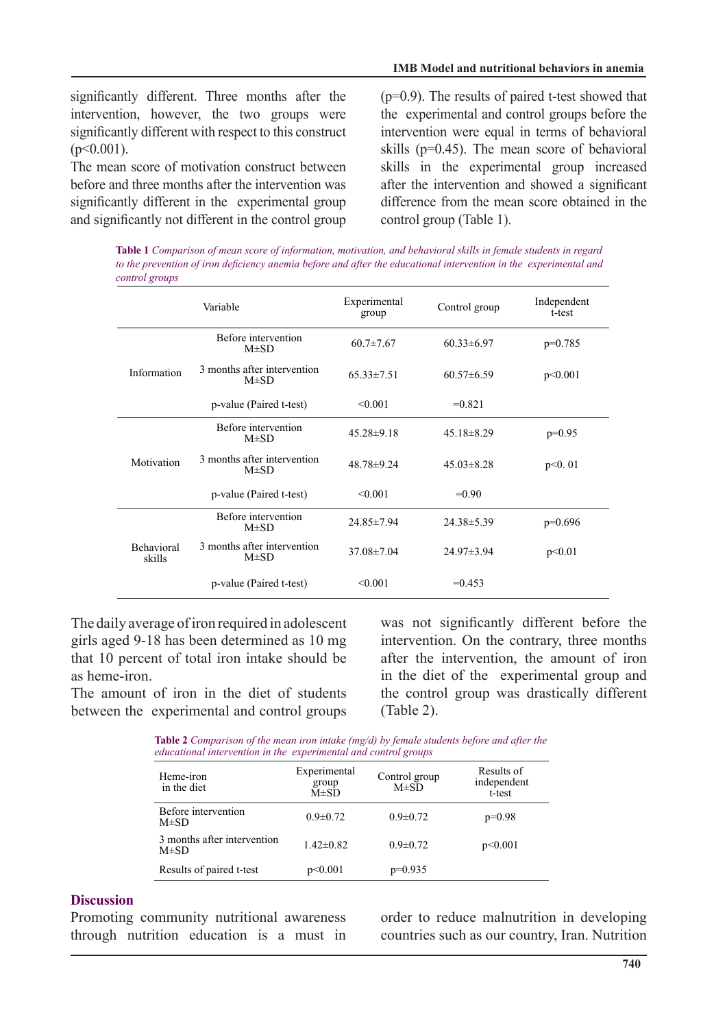significantly different. Three months after the intervention, however, the two groups were significantly different with respect to this construct  $(p<0.001)$ .

The mean score of motivation construct between before and three months after the intervention was significantly different in the experimental group and significantly not different in the control group  $(p=0.9)$ . The results of paired t-test showed that the experimental and control groups before the intervention were equal in terms of behavioral skills ( $p=0.45$ ). The mean score of behavioral skills in the experimental group increased after the intervention and showed a significant difference from the mean score obtained in the control group (Table 1).

*Table 1 Comparison of mean score of information, motivation, and behavioral skills in female students in regard* to the prevention of iron deficiency anemia before and after the educational intervention in the experimental and *control* groups

|                             | Variable                                 | Experimental<br>group | Control group    | Independent<br>t-test |
|-----------------------------|------------------------------------------|-----------------------|------------------|-----------------------|
| Information                 | Before intervention<br>$M\pm SD$         | $60.7 \pm 7.67$       | $60.33 \pm 6.97$ | $p=0.785$             |
|                             | 3 months after intervention<br>$M\pm SD$ | $65.33 \pm 7.51$      | $60.57\pm 6.59$  | p<0.001               |
|                             | p-value (Paired t-test)                  | < 0.001               | $=0.821$         |                       |
| Motivation                  | Before intervention<br>$M\pm SD$         | $45.28 \pm 9.18$      | $45.18 \pm 8.29$ | $p=0.95$              |
|                             | 3 months after intervention<br>$M\pm SD$ | $48.78 \pm 9.24$      | $45.03\pm8.28$   | p<0.01                |
|                             | p-value (Paired t-test)                  | < 0.001               | $=0.90$          |                       |
| <b>Behavioral</b><br>skills | Before intervention<br>$M\pm SD$         | 24.85 ± 7.94          | $24.38 \pm 5.39$ | $p=0.696$             |
|                             | 3 months after intervention<br>$M\pm SD$ | $37.08 \pm 7.04$      | $24.97 \pm 3.94$ | p<0.01                |
|                             | p-value (Paired t-test)                  | < 0.001               | $= 0.453$        |                       |

The daily average of iron required in adolescent girls aged 9-18 has been determined as 10 mg that 10 percent of total iron intake should be as heme-iron

The amount of iron in the diet of students between the experimental and control groups was not significantly different before the intervention. On the contrary, three months after the intervention, the amount of iron in the diet of the experimental group and the control group was drastically different  $(Table 2).$ 

**Table 2** Comparison of the mean iron intake (mg/d) by female students before and after the *educational intervention in the experimental and control groups* 

| Experimental<br>group<br>$M\pm SD$ | Control group<br>$M\pm SD$ | Results of<br>independent<br>t-test |
|------------------------------------|----------------------------|-------------------------------------|
| $0.9 \pm 0.72$                     | $0.9 \pm 0.72$             | $p=0.98$                            |
| $1.42 \pm 0.82$                    | $0.9 \pm 0.72$             | p<0.001                             |
| p<0.001                            | $p=0.935$                  |                                     |
|                                    |                            |                                     |

### **Discussion**

Promoting community nutritional awareness through nutrition education is a must in order to reduce malnutrition in developing countries such as our country, Iran. Nutrition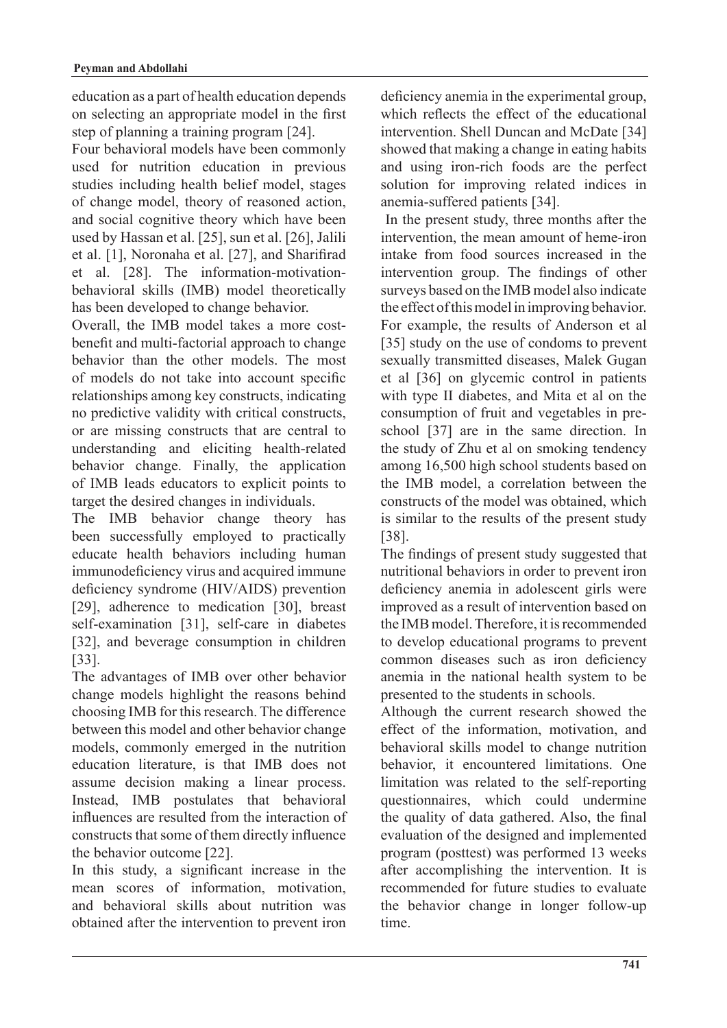education as a part of health education depends on selecting an appropriate model in the first step of planning a training program  $[24]$ .

Four behavioral models have been commonly used for nutrition education in previous studies including health belief model, stages of change model, theory of reasoned action, and social cognitive theory which have been used by Hassan et al. [25], sun et al. [26], Jalili et al. [1], Noronaha et al. [27], and Sharifirad behavioral skills (IMB) model theoretically et al. [28]. The information-motivationhas been developed to change behavior.

benefit and multi-factorial approach to change Overall, the IMB model takes a more costbehavior than the other models. The most of models do not take into account specific relationships among key constructs, indicating no predictive validity with critical constructs, or are missing constructs that are central to understanding and eliciting health-related behavior change. Finally, the application of IMB leads educators to explicit points to target the desired changes in individuals.

The IMB behavior change theory has been successfully employed to practically educate health behaviors including human immunodeficiency virus and acquired immune deficiency syndrome (HIV/AIDS) prevention [29], adherence to medication  $[30]$ , breast self-examination [31], self-care in diabetes [32], and beverage consumption in children .[33]

The advantages of IMB over other behavior change models highlight the reasons behind choosing IMB for this research. The difference between this model and other behavior change models, commonly emerged in the nutrition education literature, is that IMB does not assume decision making a linear process. Instead, IMB postulates that behavioral influences are resulted from the interaction of constructs that some of them directly influence the behavior outcome [22].

In this study, a significant increase in the mean scores of information, motivation, and behavioral skills about nutrition was obtained after the intervention to prevent iron

deficiency anemia in the experimental group, which reflects the effect of the educational intervention. Shell Duncan and McDate [34] showed that making a change in eating habits and using iron-rich foods are the perfect solution for improving related indices in anemia-suffered patients [34].

In the present study, three months after the intervention, the mean amount of heme-iron intake from food sources increased in the intervention group. The findings of other surveys based on the IMB model also indicate the effect of this model in improving behavior. For example, the results of Anderson et al [35] study on the use of condoms to prevent sexually transmitted diseases, Malek Gugan et al [36] on glycemic control in patients with type II diabetes, and Mita et al on the school  $[37]$  are in the same direction. In consumption of fruit and vegetables in prethe study of Zhu et al on smoking tendency among 16,500 high school students based on the IMB model, a correlation between the constructs of the model was obtained, which is similar to the results of the present study .[38]

The findings of present study suggested that nutritional behaviors in order to prevent iron deficiency anemia in adolescent girls were improved as a result of intervention based on the IMB model. Therefore, it is recommended to develop educational programs to prevent common diseases such as iron deficiency anemia in the national health system to be presented to the students in schools.

Although the current research showed the effect of the information, motivation, and behavioral skills model to change nutrition behavior, it encountered limitations. One limitation was related to the self-reporting questionnaires, which could undermine the quality of data gathered. Also, the final evaluation of the designed and implemented program (posttest) was performed 13 weeks after accomplishing the intervention. It is recommended for future studies to evaluate the behavior change in longer follow-up time.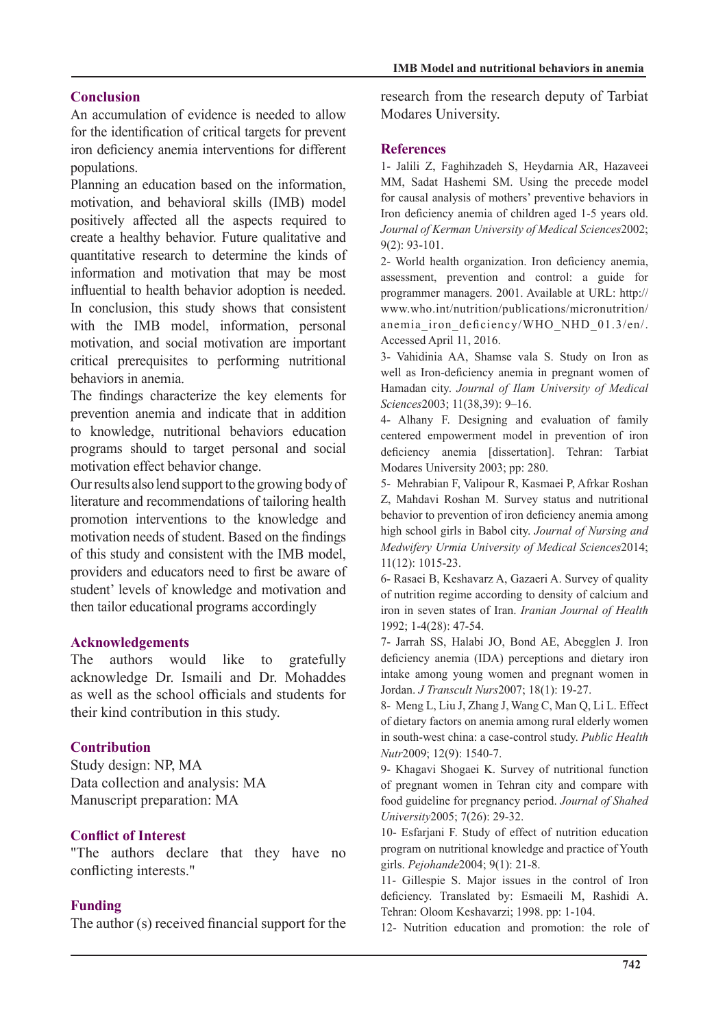## **Conclusion**

An accumulation of evidence is needed to allow for the identification of critical targets for prevent iron deficiency anemia interventions for different populations.

Planning an education based on the information. motivation, and behavioral skills (IMB) model positively affected all the aspects required to create a healthy behavior. Future qualitative and quantitative research to determine the kinds of information and motivation that may be most influential to health behavior adoption is needed. In conclusion, this study shows that consistent with the IMB model, information, personal motivation, and social motivation are important critical prerequisites to performing nutritional behaviors in anemia.

The findings characterize the key elements for prevention anemia and indicate that in addition to knowledge, nutritional behaviors education programs should to target personal and social motivation effect behavior change.

Our results also lend support to the growing body of literature and recommendations of tailoring health promotion interventions to the knowledge and motivation needs of student. Based on the findings of this study and consistent with the IMB model, providers and educators need to first be aware of student' levels of knowledge and motivation and then tailor educational programs accordingly

### **Acknowledgements**

The authors would like to gratefully acknowledge Dr. Ismaili and Dr. Mohaddes as well as the school officials and students for their kind contribution in this study.

## **Contribution**

Study design: NP, MA Data collection and analysis: MA Manuscript preparation: MA

## **Conflict of Interest**

"The authors declare that they have no conflicting interests."

## **Funding**

The author  $(s)$  received financial support for the

research from the research deputy of Tarbiat Modares University.

### **References**

1- Jalili Z, Faghihzadeh S, Heydarnia AR, Hazaveei MM, Sadat Hashemi SM. Using the precede model for causal analysis of mothers' preventive behaviors in Iron deficiency anemia of children aged 1-5 years old. Journal of Kerman University of Medical Sciences2002;  $9(2):$  93-101.

2- World health organization. Iron deficiency anemia, assessment, prevention and control: a guide for programmer managers. 2001. Available at URL: http:// www.who.int/nutrition/publications/micronutrition/ anemia iron deficiency/WHO NHD 01.3/en/. Accessed April 11, 2016.

3- Vahidinia AA, Shamse vala S. Study on Iron as well as Iron-deficiency anemia in pregnant women of Hamadan city. Journal of Ilam University of Medical Sciences<sub>2003</sub>; 11(38,39): 9-16.

4- Alhany F. Designing and evaluation of family centered empowerment model in prevention of iron deficiency anemia [dissertation]. Tehran: Tarbiat Modares University 2003; pp: 280.

5- Mehrabian F, Valipour R, Kasmaei P, Afrkar Roshan Z, Mahdavi Roshan M. Survey status and nutritional behavior to prevention of iron deficiency anemia among high school girls in Babol city. Journal of Nursing and Medwifery Urmia University of Medical Sciences2014;  $11(12): 1015-23.$ 

6- Rasaei B, Keshavarz A, Gazaeri A. Survey of quality of nutrition regime according to density of calcium and iron in seven states of Iran. *Iranian Journal of Health* 1992; 1-4(28): 47-54.

7- Jarrah SS, Halabi JO, Bond AE, Abegglen J. Iron deficiency anemia (IDA) perceptions and dietary iron intake among young women and pregnant women in Jordan. J Transcult Nurs 2007; 18(1): 19-27.

8- Meng L, Liu J, Zhang J, Wang C, Man Q, Li L. Effect of dietary factors on anemia among rural elderly women in south-west china: a case-control study. Public Health Nutr<sub>2009</sub>; 12(9): 1540-7.

9- Khagavi Shogaei K. Survey of nutritional function of pregnant women in Tehran city and compare with food guideline for pregnancy period. Journal of Shahed University2005; 7(26): 29-32.

10- Esfarjani F. Study of effect of nutrition education program on nutritional knowledge and practice of Youth girls. *Pejohande* 2004; 9(1): 21-8.

11- Gillespie S. Major issues in the control of Iron deficiency. Translated by: Esmaeili M, Rashidi A. Tehran: Oloom Keshavarzi; 1998. pp: 1-104.

12- Nutrition education and promotion: the role of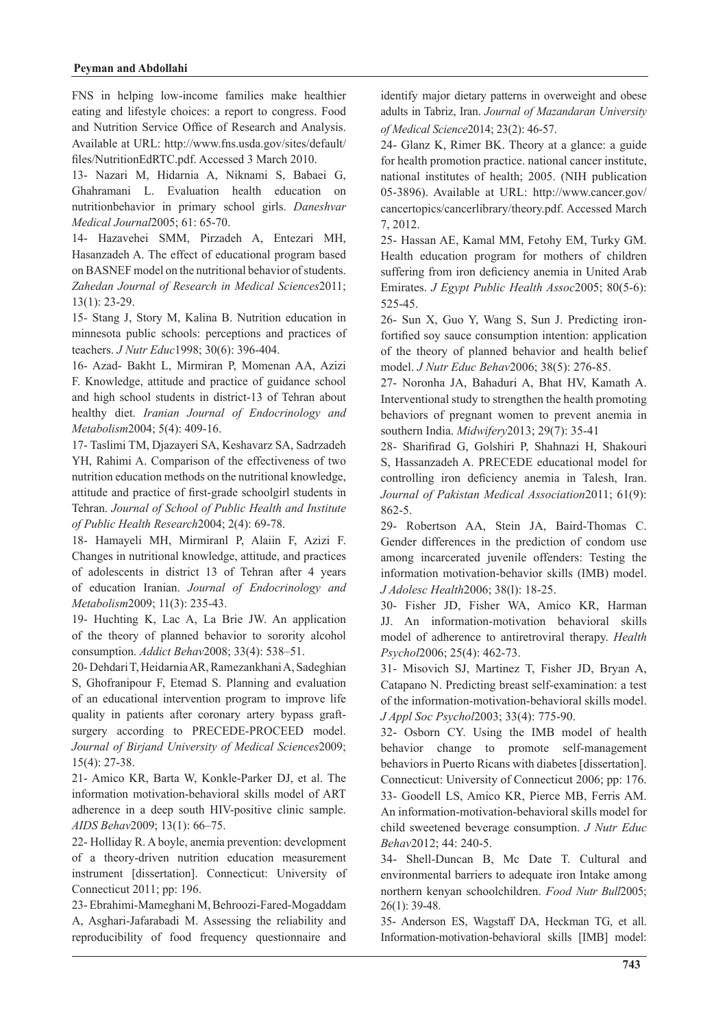FNS in helping low-income families make healthier eating and lifestyle choices: a report to congress. Food and Nutrition Service Office of Research and Analysis. Available at URL: http://www.fns.usda.gov/sites/default/ files/NutritionEdRTC.pdf. Accessed 3 March 2010.

13- Nazari M, Hidarnia A, Niknami S, Babaei G, Ghahramani L. Evaluation health education on nutritionbehavior in primary school girls. Daneshvar Medical Journal 2005; 61: 65-70.

14- Hazavehei SMM, Pirzadeh A, Entezari MH, Hasanzadeh A. The effect of educational program based on BASNEF model on the nutritional behavior of students. Zahedan Journal of Research in Medical Sciences2011;  $13(1): 23-29.$ 

15- Stang J, Story M, Kalina B. Nutrition education in minnesota public schools: perceptions and practices of teachers. *J Nutr Educ* 1998; 30(6): 396-404.

16- Azad- Bakht L, Mirmiran P, Momenan AA, Azizi F. Knowledge, attitude and practice of guidance school and high school students in district-13 of Tehran about healthy diet. Iranian Journal of Endocrinology and Metabolism2004; 5(4): 409-16.

17- Taslimi TM, Djazayeri SA, Keshavarz SA, Sadrzadeh YH, Rahimi A. Comparison of the effectiveness of two nutrition education methods on the nutritional knowledge, attitude and practice of first-grade schoolgirl students in Tehran. Journal of School of Public Health and Institute of Public Health Research 2004; 2(4): 69-78.

18- Hamayeli MH, Mirmiranl P, Alaiin F, Azizi F. Changes in nutritional knowledge, attitude, and practices of adolescents in district 13 of Tehran after 4 years of education Iranian. Journal of Endocrinology and Metabolism2009; 11(3): 235-43.

19- Huchting K, Lac A, La Brie JW. An application of the theory of planned behavior to sorority alcohol consumption. Addict Behav2008; 33(4): 538-51.

20- Dehdari T, Heidarnia AR, Ramezankhani A, Sadeghian S, Ghofranipour F, Etemad S. Planning and evaluation of an educational intervention program to improve life surgery according to PRECEDE-PROCEED model. quality in patients after coronary artery bypass graft-Journal of Birjand University of Medical Sciences2009;  $15(4): 27-38.$ 

21- Amico KR, Barta W, Konkle-Parker DJ, et al. The information motivation-behavioral skills model of ART adherence in a deep south HIV-positive clinic sample. AIDS Behav2009; 13(1): 66-75.

22- Holliday R. A boyle, anemia prevention: development of a theory-driven nutrition education measurement instrument [dissertation]. Connecticut: University of Connecticut  $2011$ ; pp: 196.

23- Ebrahimi-Mameghani M, Behroozi-Fared-Mogaddam A, Asghari-Jafarabadi M. Assessing the reliability and reproducibility of food frequency questionnaire and identify major dietary patterns in overweight and obese adults in Tabriz, Iran. Journal of Mazandaran University of Medical Science 2014; 23(2): 46-57.

24- Glanz K, Rimer BK. Theory at a glance: a guide for health promotion practice, national cancer institute. national institutes of health; 2005. (NIH publication 05-3896). Available at URL: http://www.cancer.gov/ cancertopics/cancerlibrary/theory.pdf. Accessed March 2012. 7,

25- Hassan AE, Kamal MM, Fetohy EM, Turky GM. Health education program for mothers of children suffering from iron deficiency anemia in United Arab Emirates. *J Egypt Public Health Assoc* 2005; 80(5-6): 525-45.

fortified soy sauce consumption intention: application 26- Sun X, Guo Y, Wang S, Sun J. Predicting ironof the theory of planned behavior and health belief model. *J Nutr Educ Behav* 2006; 38(5): 276-85.

27- Noronha JA, Bahaduri A, Bhat HV, Kamath A, Interventional study to strengthen the health promoting behaviors of pregnant women to prevent anemia in southern India. *Midwifery* 2013; 29(7): 35-41

28- Sharifirad G, Golshiri P, Shahnazi H, Shakouri S, Hassanzadeh A. PRECEDE educational model for controlling iron deficiency anemia in Talesh, Iran. Journal of Pakistan Medical Association 2011; 61(9): 862-5.

29- Robertson AA, Stein JA, Baird-Thomas C. Gender differences in the prediction of condom use among incarcerated juvenile offenders: Testing the information motivation-behavior skills (IMB) model. J Adolesc Health 2006; 38(1): 18-25.

30- Fisher JD, Fisher WA, Amico KR, Harman JJ. An information-motivation behavioral skills model of adherence to antiretroviral therapy. *Health* Psychol2006; 25(4): 462-73.

31- Misovich SJ, Martinez T, Fisher JD, Bryan A, Catapano N. Predicting breast self-examination: a test of the information-motivation-behavioral skills model. J Appl Soc Psychol 2003; 33(4): 775-90.

32- Osborn CY. Using the IMB model of health behavior change to promote self-management behaviors in Puerto Ricans with diabetes [dissertation]. Connecticut: University of Connecticut 2006; pp: 176. 33- Goodell LS, Amico KR, Pierce MB, Ferris AM. An information-motivation-behavioral skills model for child sweetened beverage consumption. *J Nutr Educ* Behav2012; 44: 240-5.

34- Shell-Duncan B, Mc Date T. Cultural and environmental barriers to adequate iron Intake among northern kenyan schoolchildren. Food Nutr Bull2005;  $26(1)$ : 39-48.

35- Anderson ES, Wagstaff DA, Heckman TG, et all. Information-motivation-behavioral skills [IMB] model: